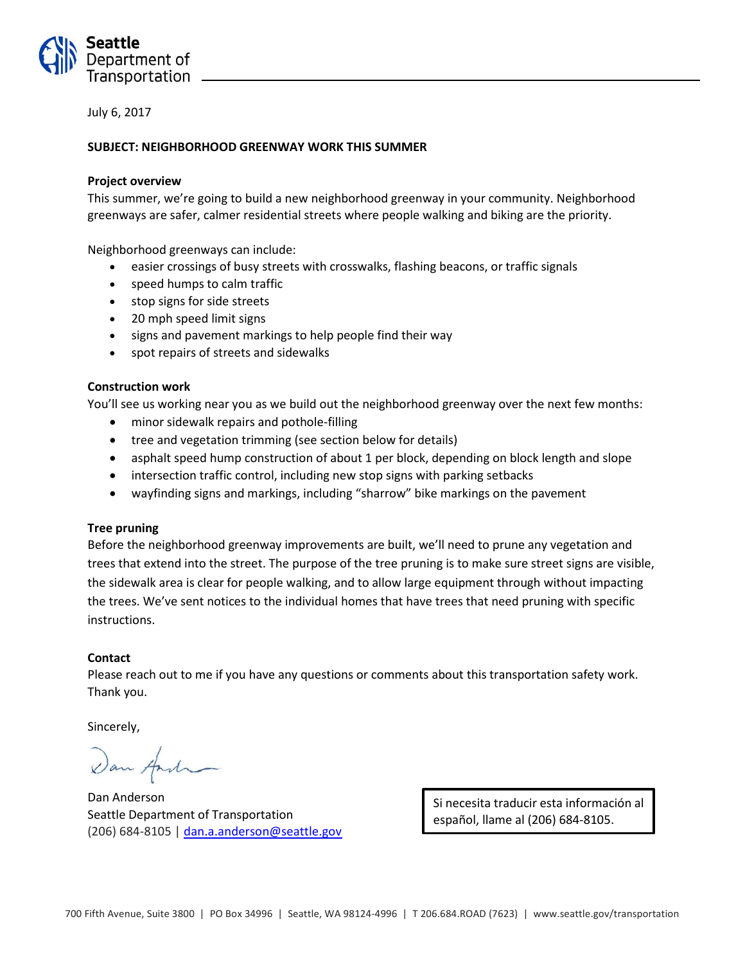

July 6, 2017

## **SUBJECT: NEIGHBORHOOD GREENWAY WORK THIS SUMMER**

### **Project overview**

This summer, we're going to build a new neighborhood greenway in your community. Neighborhood greenways are safer, calmer residential streets where people walking and biking are the priority.

Neighborhood greenways can include:

- easier crossings of busy streets with crosswalks, flashing beacons, or traffic signals
- speed humps to calm traffic
- stop signs for side streets
- 20 mph speed limit signs
- signs and pavement markings to help people find their way
- spot repairs of streets and sidewalks

#### **Construction work**

You'll see us working near you as we build out the neighborhood greenway over the next few months:

- minor sidewalk repairs and pothole-filling
- tree and vegetation trimming (see section below for details)
- asphalt speed hump construction of about 1 per block, depending on block length and slope
- intersection traffic control, including new stop signs with parking setbacks
- wayfinding signs and markings, including "sharrow" bike markings on the pavement

#### **Tree pruning**

Before the neighborhood greenway improvements are built, we'll need to prune any vegetation and trees that extend into the street. The purpose of the tree pruning is to make sure street signs are visible, the sidewalk area is clear for people walking, and to allow large equipment through without impacting the trees. We've sent notices to the individual homes that have trees that need pruning with specific instructions.

#### **Contact**

Please reach out to me if you have any questions or comments about this transportation safety work. Thank you.

Sincerely,

Dan Anderson Seattle Department of Transportation (206) 684-8105 | [dan.a.anderson@seattle.gov](mailto:dan.a.anderson@seattle.gov)

Si necesita traducir esta información al español, llame al (206) 684-8105.